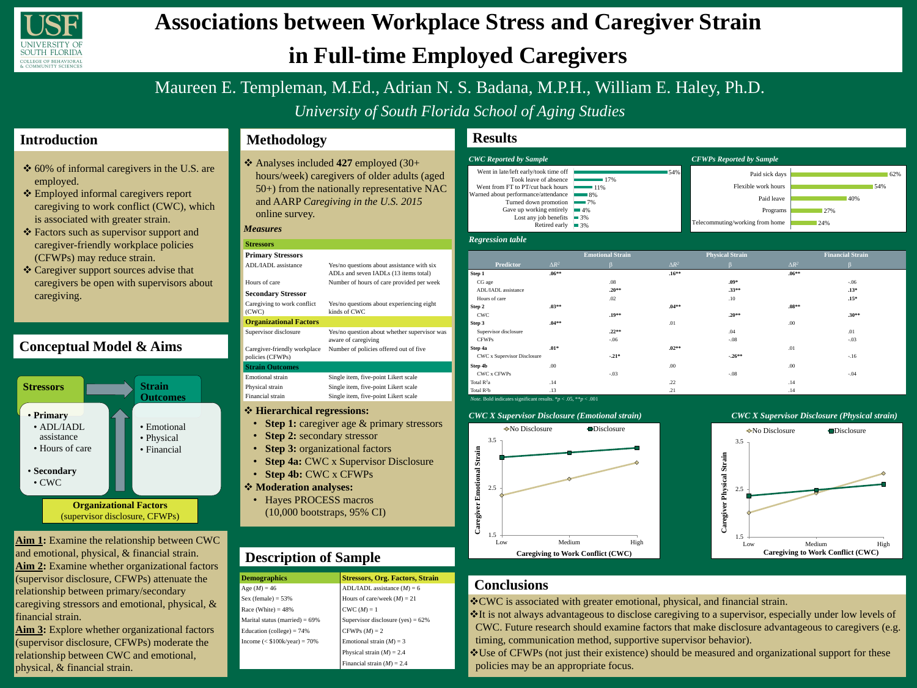CWC is associated with greater emotional, physical, and financial strain. **It is not always advantageous to disclose caregiving to a supervisor, especially under low levels of** CWC. Future research should examine factors that make disclosure advantageous to caregivers (e.g. timing, communication method, supportive supervisor behavior). • Use of CFWPs (not just their existence) should be measured and organizational support for these policies may be an appropriate focus.

**Aim 1:** Examine the relationship between CWC and emotional, physical, & financial strain. **Aim 2:** Examine whether organizational factors (supervisor disclosure, CFWPs) attenuate the relationship between primary/secondary caregiving stressors and emotional, physical, & financial strain.

**Aim 3:** Explore whether organizational factors (supervisor disclosure, CFWPs) moderate the relationship between CWC and emotional, physical, & financial strain.

- 60% of informal caregivers in the U.S. are employed.
- Employed informal caregivers report caregiving to work conflict (CWC), which is associated with greater strain.
- Factors such as supervisor support and caregiver-friendly workplace policies (CFWPs) may reduce strain.
- Caregiver support sources advise that caregivers be open with supervisors about caregiving.





### **Introduction**

### **Associations between Workplace Stress and Caregiver Strain in Full-time Employed Caregivers**

# Maureen E. Templeman, M.Ed., Adrian N. S. Badana, M.P.H., William E. Haley, Ph.D.

*University of South Florida School of Aging Studies*

### **Conceptual Model & Aims**

 Analyses included **427** employed (30+ hours/week) caregivers of older adults (aged 50+) from the nationally representative NAC and AARP *Caregiving in the U.S. 2015*  online survey.

### *Measures*

- **Step 3:** organizational factors
- **Step 4a:** CWC x Supervisor Disclosure
- **Step 4b:** CWC x CFWPs

### **Moderation analyses:**

• Hayes PROCESS macros (10,000 bootstraps, 95% CI)

### **Methodology**

*CWC X Supervisor Disclosure (Emotional strain) CWC X Supervisor Disclosure (Physical strain)*

### **Results**

### **Conclusions**



(supervisor disclosure, CFWPs)

| <b>Stressors</b>                                 |                                                                                     |  |  |  |
|--------------------------------------------------|-------------------------------------------------------------------------------------|--|--|--|
| <b>Primary Stressors</b>                         |                                                                                     |  |  |  |
| <b>ADL/IADL</b> assistance                       | Yes/no questions about assistance with six<br>ADLs and seven IADLs (13 items total) |  |  |  |
| Hours of care                                    | Number of hours of care provided per week                                           |  |  |  |
| <b>Secondary Stressor</b>                        |                                                                                     |  |  |  |
| Caregiving to work conflict<br>(CWC)             | Yes/no questions about experiencing eight<br>kinds of CWC                           |  |  |  |
| <b>Organizational Factors</b>                    |                                                                                     |  |  |  |
| Supervisor disclosure                            | Yes/no question about whether supervisor was<br>aware of caregiving                 |  |  |  |
| Caregiver-friendly workplace<br>policies (CFWPs) | Number of policies offered out of five.                                             |  |  |  |
| <b>Strain Outcomes</b>                           |                                                                                     |  |  |  |
| <b>Emotional strain</b>                          | Single item, five-point Likert scale                                                |  |  |  |
| Physical strain                                  | Single item, five-point Likert scale                                                |  |  |  |
| Financial strain                                 | Single item, five-point Likert scale                                                |  |  |  |
| * Hierarchical regressions:                      |                                                                                     |  |  |  |
|                                                  | <b>Step 1:</b> caregiver age & primary stressors                                    |  |  |  |
| <b>Step 2: secondary stressor</b><br>$\bullet$   |                                                                                     |  |  |  |
|                                                  |                                                                                     |  |  |  |



### 24% 27%  $\sqrt{40\%}$ 54% 62% Telecommuting/working from home Programs Paid leave Flexible work hours Paid sick days

|                                    |              | <b>Emotional Strain</b> |              | <b>Physical Strain</b> |              | <b>Financial Strain</b> |
|------------------------------------|--------------|-------------------------|--------------|------------------------|--------------|-------------------------|
| <b>Predictor</b>                   | $\Delta R^2$ |                         | $\Delta R^2$ |                        | $\Delta R^2$ |                         |
| <b>Step 1</b>                      | $.06**$      |                         | $.16***$     |                        | $.06***$     |                         |
| CG age                             |              | .08                     |              | $.09*$                 |              | $-.06$                  |
| <b>ADL/IADL</b> assistance         |              | $.20**$                 |              | $.33**$                |              | $.13*$                  |
| Hours of care                      |              | .02                     |              | .10                    |              | $.15*$                  |
| <b>Step 2</b>                      | $.03**$      |                         | $.04**$      |                        | $.08**$      |                         |
| <b>CWC</b>                         |              | $.19**$                 |              | $.20**$                |              | $.30**$                 |
| Step 3                             | $.04**$      |                         | .01          |                        | .00.         |                         |
| Supervisor disclosure              |              | $.22**$                 |              | .04                    |              | .01                     |
| <b>CFWPs</b>                       |              | $-0.06$                 |              | $-.08$                 |              | $-.03$                  |
| <b>Step 4a</b>                     | $.01*$       |                         | $.02**$      |                        | .01          |                         |
| <b>CWC x Supervisor Disclosure</b> |              | $-.21*$                 |              | $-.26**$               |              | $-.16$                  |
| <b>Step 4b</b>                     | .00.         |                         | .00.         |                        | .00.         |                         |
| CWC x CFWPs                        |              | $-.03$                  |              | $-.08$                 |              | $-.04$                  |
| Total $\mathbf{R}^2\mathbf{a}$     | .14          |                         | .22          |                        | .14          |                         |
| Total $R^2b$                       | .13          |                         | .21          |                        | .14          |                         |

*Note*. Bold indicates significant results.  $* p < .05, ** p < .001$ 

### **Description of Sample**

| <b>Demographics</b>               | <b>Stressors, Org. Factors, Strain</b> |
|-----------------------------------|----------------------------------------|
| Age $(M) = 46$                    | ADL/IADL assistance $(M) = 6$          |
| Sex (female) = $53\%$             | Hours of care/week $(M) = 21$          |
| Race (White) $= 48\%$             | $CWC (M) = 1$                          |
| Marital status (married) = $69\%$ | Supervisor disclosure (yes) = $62\%$   |
| Education (college) = $74\%$      | CFWPs $(M) = 2$                        |
| Income (< $$100k/year$ ) = 70%    | Emotional strain $(M) = 3$             |
|                                   | Physical strain $(M) = 2.4$            |
|                                   | Financial strain $(M) = 2.4$           |